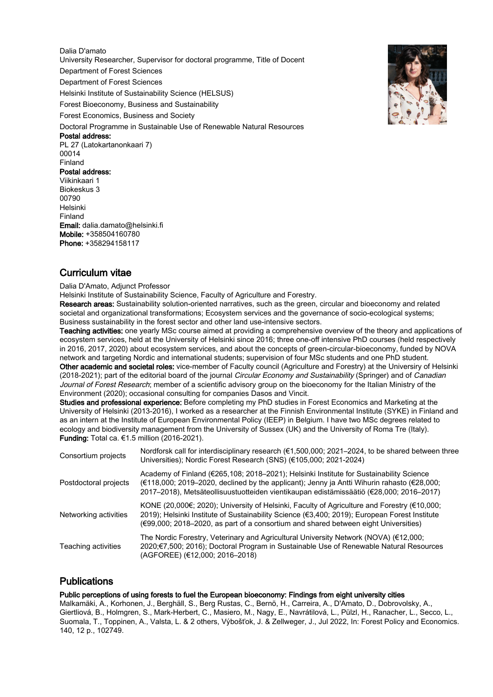Dalia D'amato University Researcher, Supervisor for doctoral programme, Title of Docent Department of Forest Sciences Department of Forest Sciences Helsinki Institute of Sustainability Science (HELSUS) Forest Bioeconomy, Business and Sustainability Forest Economics, Business and Society Doctoral Programme in Sustainable Use of Renewable Natural Resources Postal address: PL 27 (Latokartanonkaari 7) 00014 Finland Postal address: Viikinkaari 1 Biokeskus 3 00790 Helsinki Finland Email: dalia.damato@helsinki.fi Mobile: +358504160780 Phone: +358294158117



## Dalia D'Amato, Adjunct Professor

Helsinki Institute of Sustainability Science, Faculty of Agriculture and Forestry.

Research areas: Sustainability solution-oriented narratives, such as the green, circular and bioeconomy and related societal and organizational transformations; Ecosystem services and the governance of socio-ecological systems; Business sustainability in the forest sector and other land use-intensive sectors.

Teaching activities: one yearly MSc course aimed at providing a comprehensive overview of the theory and applications of ecosystem services, held at the University of Helsinki since 2016; three one-off intensive PhD courses (held respectively in 2016, 2017, 2020) about ecosystem services, and about the concepts of green-circular-bioeconomy, funded by NOVA network and targeting Nordic and international students; supervision of four MSc students and one PhD student. Other academic and societal roles: vice-member of Faculty council (Agriculture and Forestry) at the Universiry of Helsinki (2018-2021); part of the editorial board of the journal Circular Economy and Sustainability (Springer) and of Canadian Journal of Forest Research; member of a scientific advisory group on the bioeconomy for the Italian Ministry of the Environment (2020); occasional consulting for companies Dasos and Vincit.

Studies and professional experience: Before completing my PhD studies in Forest Economics and Marketing at the University of Helsinki (2013-2016), I worked as a researcher at the Finnish Environmental Institute (SYKE) in Finland and as an intern at the Institute of European Environmental Policy (IEEP) in Belgium. I have two MSc degrees related to ecology and biodiversity management from the University of Sussex (UK) and the University of Roma Tre (Italy). Funding: Total ca. €1.5 million (2016-2021).

| Consortium projects   | Nordforsk call for interdisciplinary research ( $\epsilon$ 1,500,000; 2021–2024, to be shared between three<br>Universities); Nordic Forest Research (SNS) (€105,000; 2021-2024)                                                                                                         |
|-----------------------|------------------------------------------------------------------------------------------------------------------------------------------------------------------------------------------------------------------------------------------------------------------------------------------|
| Postdoctoral projects | Academy of Finland (€265,108; 2018–2021); Helsinki Institute for Sustainability Science<br>(€118,000; 2019–2020, declined by the applicant); Jenny ja Antti Wihurin rahasto (€28,000;<br>2017–2018), Metsäteollisuustuotteiden vientikaupan edistämissäätiö (€28,000; 2016–2017)         |
| Networking activities | KONE (20,000€; 2020); University of Helsinki, Faculty of Agriculture and Forestry (€10,000;<br>2019); Helsinki Institute of Sustainability Science (€3,400; 2019); European Forest Institute<br>$(699,000; 2018 - 2020$ , as part of a consortium and shared between eight Universities) |
| Teaching activities   | The Nordic Forestry, Veterinary and Agricultural University Network (NOVA) (€12,000;<br>2020;€7,500; 2016); Doctoral Program in Sustainable Use of Renewable Natural Resources<br>(AGFOREE) (€12,000; 2016–2018)                                                                         |

# Publications

## Public perceptions of using forests to fuel the European bioeconomy: Findings from eight university cities

Malkamäki, A., Korhonen, J., Berghäll, S., Berg Rustas, C., Bernö, H., Carreira, A., D'Amato, D., Dobrovolsky, A., Giertliová, B., Holmgren, S., Mark-Herbert, C., Masiero, M., Nagy, E., Navrátilová, L., Pülzl, H., Ranacher, L., Secco, L., Suomala, T., Toppinen, A., Valsta, L. & 2 others, Výbošťok, J. & Zellweger, J., Jul 2022, In: Forest Policy and Economics. 140, 12 p., 102749.

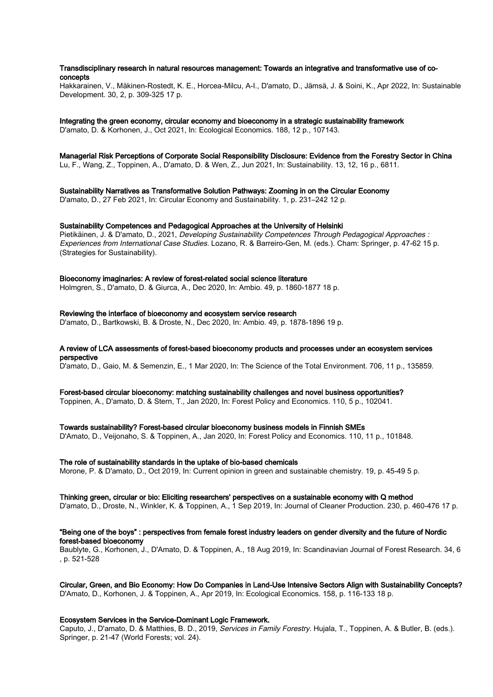#### Transdisciplinary research in natural resources management: Towards an integrative and transformative use of coconcepts

Hakkarainen, V., Mäkinen-Rostedt, K. E., Horcea-Milcu, A-I., D'amato, D., Jämsä, J. & Soini, K., Apr 2022, In: Sustainable Development. 30, 2, p. 309-325 17 p.

#### Integrating the green economy, circular economy and bioeconomy in a strategic sustainability framework

D'amato, D. & Korhonen, J., Oct 2021, In: Ecological Economics. 188, 12 p., 107143.

# Managerial Risk Perceptions of Corporate Social Responsibility Disclosure: Evidence from the Forestry Sector in China

Lu, F., Wang, Z., Toppinen, A., D'amato, D. & Wen, Z., Jun 2021, In: Sustainability. 13, 12, 16 p., 6811.

#### Sustainability Narratives as Transformative Solution Pathways: Zooming in on the Circular Economy D'amato, D., 27 Feb 2021, In: Circular Economy and Sustainability. 1, p. 231–242 12 p.

## Sustainability Competences and Pedagogical Approaches at the University of Helsinki

Pietikäinen, J. & D'amato, D., 2021, Developing Sustainability Competences Through Pedagogical Approaches : Experiences from International Case Studies. Lozano, R. & Barreiro-Gen, M. (eds.). Cham: Springer, p. 47-62 15 p. (Strategies for Sustainability).

#### Bioeconomy imaginaries: A review of forest-related social science literature

Holmgren, S., D'amato, D. & Giurca, A., Dec 2020, In: Ambio. 49, p. 1860-1877 18 p.

#### Reviewing the interface of bioeconomy and ecosystem service research

D'amato, D., Bartkowski, B. & Droste, N., Dec 2020, In: Ambio. 49, p. 1878-1896 19 p.

#### A review of LCA assessments of forest-based bioeconomy products and processes under an ecosystem services perspective

D'amato, D., Gaio, M. & Semenzin, E., 1 Mar 2020, In: The Science of the Total Environment. 706, 11 p., 135859.

## Forest-based circular bioeconomy: matching sustainability challenges and novel business opportunities?

Toppinen, A., D'amato, D. & Stern, T., Jan 2020, In: Forest Policy and Economics. 110, 5 p., 102041.

#### Towards sustainability? Forest-based circular bioeconomy business models in Finnish SMEs

D'Amato, D., Veijonaho, S. & Toppinen, A., Jan 2020, In: Forest Policy and Economics. 110, 11 p., 101848.

#### The role of sustainability standards in the uptake of bio-based chemicals

Morone, P. & D'amato, D., Oct 2019, In: Current opinion in green and sustainable chemistry. 19, p. 45-49 5 p.

#### Thinking green, circular or bio: Eliciting researchers' perspectives on a sustainable economy with Q method

D'amato, D., Droste, N., Winkler, K. & Toppinen, A., 1 Sep 2019, In: Journal of Cleaner Production. 230, p. 460-476 17 p.

#### "Being one of the boys" : perspectives from female forest industry leaders on gender diversity and the future of Nordic forest-based bioeconomy

Baublyte, G., Korhonen, J., D'Amato, D. & Toppinen, A., 18 Aug 2019, In: Scandinavian Journal of Forest Research. 34, 6 , p. 521-528

Circular, Green, and Bio Economy: How Do Companies in Land-Use Intensive Sectors Align with Sustainability Concepts? D'Amato, D., Korhonen, J. & Toppinen, A., Apr 2019, In: Ecological Economics. 158, p. 116-133 18 p.

#### Ecosystem Services in the Service-Dominant Logic Framework.

Caputo, J., D'amato, D. & Matthies, B. D., 2019, Services in Family Forestry. Hujala, T., Toppinen, A. & Butler, B. (eds.). Springer, p. 21-47 (World Forests; vol. 24).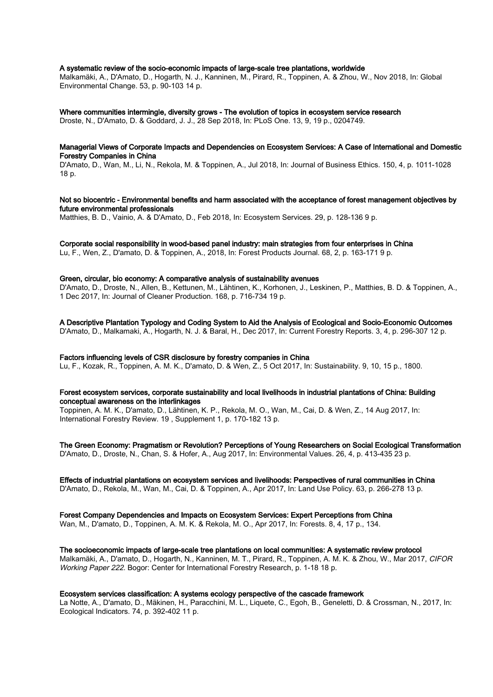#### A systematic review of the socio-economic impacts of large-scale tree plantations, worldwide

Malkamäki, A., D'Amato, D., Hogarth, N. J., Kanninen, M., Pirard, R., Toppinen, A. & Zhou, W., Nov 2018, In: Global Environmental Change. 53, p. 90-103 14 p.

#### Where communities intermingle, diversity grows - The evolution of topics in ecosystem service research

Droste, N., D'Amato, D. & Goddard, J. J., 28 Sep 2018, In: PLoS One. 13, 9, 19 p., 0204749.

#### Managerial Views of Corporate Impacts and Dependencies on Ecosystem Services: A Case of International and Domestic Forestry Companies in China

D'Amato, D., Wan, M., Li, N., Rekola, M. & Toppinen, A., Jul 2018, In: Journal of Business Ethics. 150, 4, p. 1011-1028 18 p.

#### Not so biocentric - Environmental benefits and harm associated with the acceptance of forest management objectives by future environmental professionals

Matthies, B. D., Vainio, A. & D'Amato, D., Feb 2018, In: Ecosystem Services. 29, p. 128-136 9 p.

#### Corporate social responsibility in wood-based panel industry: main strategies from four enterprises in China

Lu, F., Wen, Z., D'amato, D. & Toppinen, A., 2018, In: Forest Products Journal. 68, 2, p. 163-171 9 p.

#### Green, circular, bio economy: A comparative analysis of sustainability avenues

D'Amato, D., Droste, N., Allen, B., Kettunen, M., Lähtinen, K., Korhonen, J., Leskinen, P., Matthies, B. D. & Toppinen, A., 1 Dec 2017, In: Journal of Cleaner Production. 168, p. 716-734 19 p.

#### A Descriptive Plantation Typology and Coding System to Aid the Analysis of Ecological and Socio-Economic Outcomes

D'Amato, D., Malkamaki, A., Hogarth, N. J. & Baral, H., Dec 2017, In: Current Forestry Reports. 3, 4, p. 296-307 12 p.

#### Factors influencing levels of CSR disclosure by forestry companies in China

Lu, F., Kozak, R., Toppinen, A. M. K., D'amato, D. & Wen, Z., 5 Oct 2017, In: Sustainability. 9, 10, 15 p., 1800.

#### Forest ecosystem services, corporate sustainability and local livelihoods in industrial plantations of China: Building conceptual awareness on the interlinkages

Toppinen, A. M. K., D'amato, D., Lähtinen, K. P., Rekola, M. O., Wan, M., Cai, D. & Wen, Z., 14 Aug 2017, In: International Forestry Review. 19 , Supplement 1, p. 170-182 13 p.

#### The Green Economy: Pragmatism or Revolution? Perceptions of Young Researchers on Social Ecological Transformation

D'Amato, D., Droste, N., Chan, S. & Hofer, A., Aug 2017, In: Environmental Values. 26, 4, p. 413-435 23 p.

## Effects of industrial plantations on ecosystem services and livelihoods: Perspectives of rural communities in China

D'Amato, D., Rekola, M., Wan, M., Cai, D. & Toppinen, A., Apr 2017, In: Land Use Policy. 63, p. 266-278 13 p.

#### Forest Company Dependencies and Impacts on Ecosystem Services: Expert Perceptions from China

Wan, M., D'amato, D., Toppinen, A. M. K. & Rekola, M. O., Apr 2017, In: Forests. 8, 4, 17 p., 134.

#### The socioeconomic impacts of large-scale tree plantations on local communities: A systematic review protocol

Malkamäki, A., D'amato, D., Hogarth, N., Kanninen, M. T., Pirard, R., Toppinen, A. M. K. & Zhou, W., Mar 2017, CIFOR Working Paper 222. Bogor: Center for International Forestry Research, p. 1-18 18 p.

#### Ecosystem services classification: A systems ecology perspective of the cascade framework

La Notte, A., D'amato, D., Mäkinen, H., Paracchini, M. L., Liquete, C., Egoh, B., Geneletti, D. & Crossman, N., 2017, In: Ecological Indicators. 74, p. 392-402 11 p.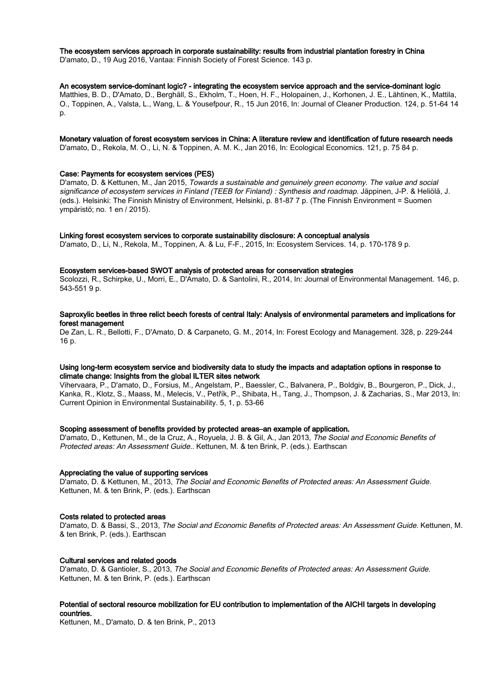The ecosystem services approach in corporate sustainability: results from industrial plantation forestry in China D'amato, D., 19 Aug 2016, Vantaa: Finnish Society of Forest Science. 143 p.

#### An ecosystem service-dominant logic? - integrating the ecosystem service approach and the service-dominant logic

Matthies, B. D., D'Amato, D., Berghäll, S., Ekholm, T., Hoen, H. F., Holopainen, J., Korhonen, J. E., Lähtinen, K., Mattila, O., Toppinen, A., Valsta, L., Wang, L. & Yousefpour, R., 15 Jun 2016, In: Journal of Cleaner Production. 124, p. 51-64 14 p.

#### Monetary valuation of forest ecosystem services in China: A literature review and identification of future research needs

D'amato, D., Rekola, M. O., Li, N. & Toppinen, A. M. K., Jan 2016, In: Ecological Economics. 121, p. 75 84 p.

#### Case: Payments for ecosystem services (PES)

D'amato, D. & Kettunen, M., Jan 2015, Towards a sustainable and genuinely green economy. The value and social significance of ecosystem services in Finland (TEEB for Finland) : Synthesis and roadmap. Jäppinen, J-P. & Heliölä, J. (eds.). Helsinki: The Finnish Ministry of Environment, Helsinki, p. 81-87 7 p. (The Finnish Environment = Suomen ympäristö; no. 1 en / 2015).

#### Linking forest ecosystem services to corporate sustainability disclosure: A conceptual analysis

D'amato, D., Li, N., Rekola, M., Toppinen, A. & Lu, F-F., 2015, In: Ecosystem Services. 14, p. 170-178 9 p.

#### Ecosystem services-based SWOT analysis of protected areas for conservation strategies

Scolozzi, R., Schirpke, U., Morri, E., D'Amato, D. & Santolini, R., 2014, In: Journal of Environmental Management. 146, p. 543-551 9 p.

#### Saproxylic beetles in three relict beech forests of central Italy: Analysis of environmental parameters and implications for forest management

De Zan, L. R., Bellotti, F., D'Amato, D. & Carpaneto, G. M., 2014, In: Forest Ecology and Management. 328, p. 229-244 16 p.

#### Using long-term ecosystem service and biodiversity data to study the impacts and adaptation options in response to climate change: Insights from the global ILTER sites network

Vihervaara, P., D'amato, D., Forsius, M., Angelstam, P., Baessler, C., Balvanera, P., Boldgiv, B., Bourgeron, P., Dick, J., Kanka, R., Klotz, S., Maass, M., Melecis, V., Petřík, P., Shibata, H., Tang, J., Thompson, J. & Zacharias, S., Mar 2013, In: Current Opinion in Environmental Sustainability. 5, 1, p. 53-66

#### Scoping assessment of benefits provided by protected areas–an example of application.

D'amato, D., Kettunen, M., de la Cruz, A., Royuela, J. B. & Gil, A., Jan 2013, The Social and Economic Benefits of Protected areas: An Assessment Guide.. Kettunen, M. & ten Brink, P. (eds.). Earthscan

#### Appreciating the value of supporting services

D'amato, D. & Kettunen, M., 2013, The Social and Economic Benefits of Protected areas: An Assessment Guide. Kettunen, M. & ten Brink, P. (eds.). Earthscan

#### Costs related to protected areas

D'amato, D. & Bassi, S., 2013, The Social and Economic Benefits of Protected areas: An Assessment Guide. Kettunen, M. & ten Brink, P. (eds.). Earthscan

#### Cultural services and related goods

D'amato, D. & Gantioler, S., 2013, The Social and Economic Benefits of Protected areas: An Assessment Guide. Kettunen, M. & ten Brink, P. (eds.). Earthscan

#### Potential of sectoral resource mobilization for EU contribution to implementation of the AICHI targets in developing countries.

Kettunen, M., D'amato, D. & ten Brink, P., 2013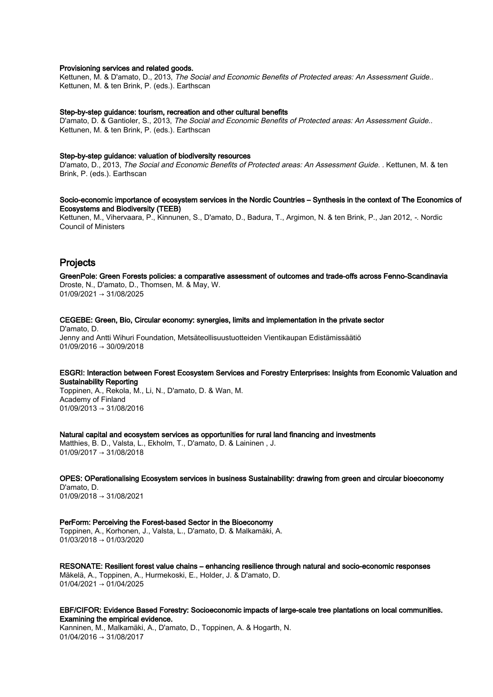#### Provisioning services and related goods.

Kettunen, M. & D'amato, D., 2013, The Social and Economic Benefits of Protected areas: An Assessment Guide.. Kettunen, M. & ten Brink, P. (eds.). Earthscan

#### Step-by-step guidance: tourism, recreation and other cultural benefits

D'amato, D. & Gantioler, S., 2013, The Social and Economic Benefits of Protected areas: An Assessment Guide.. Kettunen, M. & ten Brink, P. (eds.). Earthscan

#### Step-by-step guidance: valuation of biodiversity resources

D'amato, D., 2013, The Social and Economic Benefits of Protected areas: An Assessment Guide. . Kettunen, M. & ten Brink, P. (eds.). Earthscan

#### Socio-economic importance of ecosystem services in the Nordic Countries – Synthesis in the context of The Economics of Ecosystems and Biodiversity (TEEB)

Kettunen, M., Vihervaara, P., Kinnunen, S., D'amato, D., Badura, T., Argimon, N. & ten Brink, P., Jan 2012, -. Nordic Council of Ministers

# Projects

GreenPole: Green Forests policies: a comparative assessment of outcomes and trade-offs across Fenno-Scandinavia Droste, N., D'amato, D., Thomsen, M. & May, W. 01/09/2021 → 31/08/2025

## CEGEBE: Green, Bio, Circular economy: synergies, limits and implementation in the private sector

D'amato, D. Jenny and Antti Wihuri Foundation, Metsäteollisuustuotteiden Vientikaupan Edistämissäätiö  $01/09/2016 \rightarrow 30/09/2018$ 

#### ESGRI: Interaction between Forest Ecosystem Services and Forestry Enterprises: Insights from Economic Valuation and Sustainability Reporting

Toppinen, A., Rekola, M., Li, N., D'amato, D. & Wan, M. Academy of Finland  $01/09/2013 \rightarrow 31/08/2016$ 

#### Natural capital and ecosystem services as opportunities for rural land financing and investments

Matthies, B. D., Valsta, L., Ekholm, T., D'amato, D. & Laininen , J. 01/09/2017 → 31/08/2018

OPES: OPerationalising Ecosystem services in business Sustainability: drawing from green and circular bioeconomy D'amato, D. 01/09/2018 → 31/08/2021

PerForm: Perceiving the Forest-based Sector in the Bioeconomy

Toppinen, A., Korhonen, J., Valsta, L., D'amato, D. & Malkamäki, A. 01/03/2018 → 01/03/2020

RESONATE: Resilient forest value chains – enhancing resilience through natural and socio-economic responses Mäkelä, A., Toppinen, A., Hurmekoski, E., Holder, J. & D'amato, D.  $01/04/2021 \rightarrow 01/04/2025$ 

#### EBF/CIFOR: Evidence Based Forestry: Socioeconomic impacts of large-scale tree plantations on local communities. Examining the empirical evidence.

Kanninen, M., Malkamäki, A., D'amato, D., Toppinen, A. & Hogarth, N. 01/04/2016 → 31/08/2017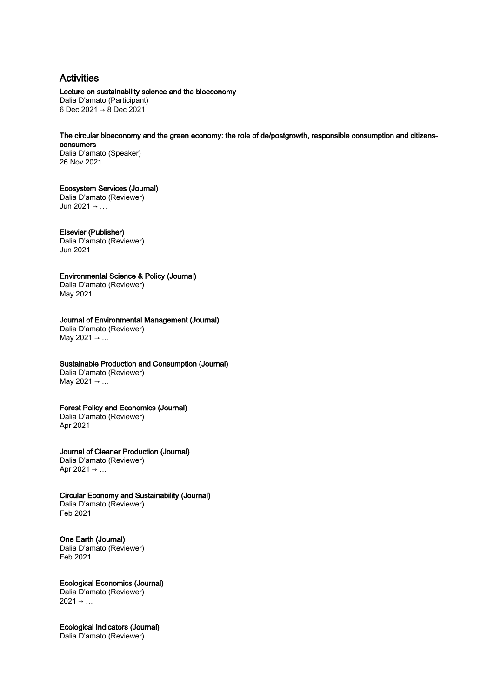# Activities

Lecture on sustainability science and the bioeconomy

Dalia D'amato (Participant) 6 Dec 2021 → 8 Dec 2021

The circular bioeconomy and the green economy: the role of de/postgrowth, responsible consumption and citizensconsumers

Dalia D'amato (Speaker) 26 Nov 2021

## Ecosystem Services (Journal)

Dalia D'amato (Reviewer) Jun 2021  $\rightarrow$  ...

## Elsevier (Publisher)

Dalia D'amato (Reviewer) Jun 2021

## Environmental Science & Policy (Journal)

Dalia D'amato (Reviewer) May 2021

## Journal of Environmental Management (Journal)

Dalia D'amato (Reviewer) May 2021 → …

## Sustainable Production and Consumption (Journal)

Dalia D'amato (Reviewer) May 2021 → …

## Forest Policy and Economics (Journal)

Dalia D'amato (Reviewer) Apr 2021

## Journal of Cleaner Production (Journal)

Dalia D'amato (Reviewer) Apr 2021  $\rightarrow$  ...

## Circular Economy and Sustainability (Journal)

Dalia D'amato (Reviewer) Feb 2021

## One Earth (Journal)

Dalia D'amato (Reviewer) Feb 2021

## Ecological Economics (Journal) Dalia D'amato (Reviewer)

 $2021 \rightarrow \ldots$ 

## Ecological Indicators (Journal)

Dalia D'amato (Reviewer)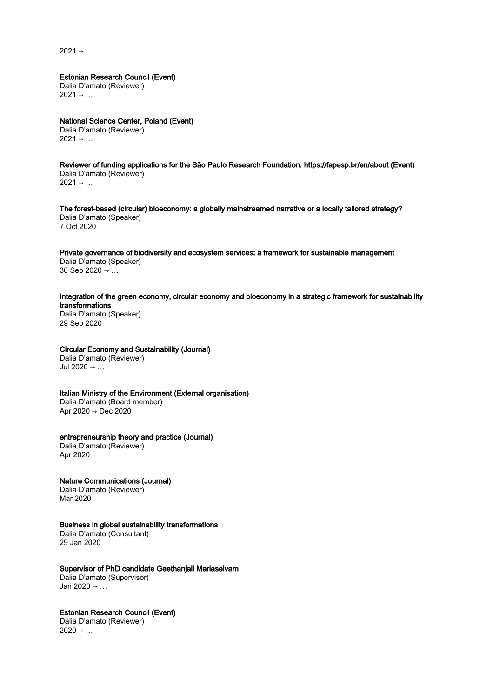$2021 \rightarrow ...$ 

Estonian Research Council (Event) Dalia D'amato (Reviewer)  $2021 \rightarrow ...$ 

National Science Center, Poland (Event) Dalia D'amato (Reviewer)  $2021 \rightarrow ...$ 

Reviewer of funding applications for the São Paulo Research Foundation. https://fapesp.br/en/about (Event) Dalia D'amato (Reviewer)  $2021 \rightarrow ...$ 

The forest-based (circular) bioeconomy: a globally mainstreamed narrative or a locally tailored strategy? Dalia D'amato (Speaker) 7 Oct 2020

Private governance of biodiversity and ecosystem services: a framework for sustainable management Dalia D'amato (Speaker) 30 Sep 2020 → …

Integration of the green economy, circular economy and bioeconomy in a strategic framework for sustainability transformations

Dalia D'amato (Speaker) 29 Sep 2020

## Circular Economy and Sustainability (Journal)

Dalia D'amato (Reviewer) Jul 2020 → …

Italian Ministry of the Environment (External organisation) Dalia D'amato (Board member) Apr 2020 → Dec 2020

#### entrepreneurship theory and practice (Journal)

Dalia D'amato (Reviewer) Apr 2020

Nature Communications (Journal)

Dalia D'amato (Reviewer) Mar 2020

#### Business in global sustainability transformations

Dalia D'amato (Consultant) 29 Jan 2020

## Supervisor of PhD candidate Geethanjali Mariaselvam

Dalia D'amato (Supervisor) Jan 2020 → …

#### Estonian Research Council (Event)

Dalia D'amato (Reviewer)  $2020 \rightarrow ...$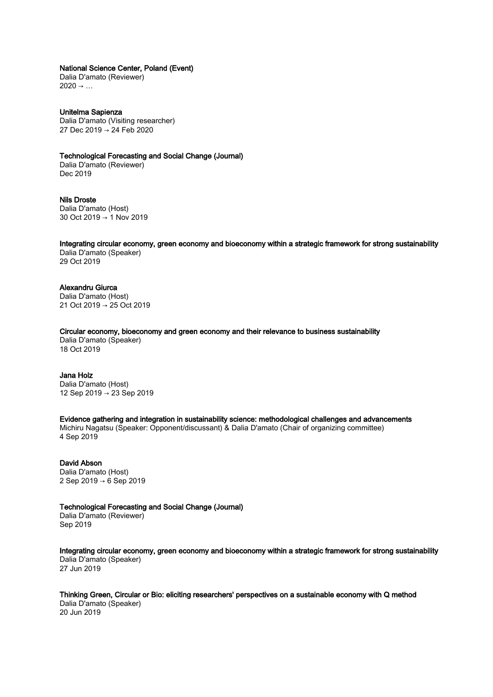#### National Science Center, Poland (Event)

Dalia D'amato (Reviewer)  $2020 \rightarrow \ldots$ 

Unitelma Sapienza Dalia D'amato (Visiting researcher) 27 Dec 2019 → 24 Feb 2020

#### Technological Forecasting and Social Change (Journal)

Dalia D'amato (Reviewer) Dec 2019

Nils Droste Dalia D'amato (Host) 30 Oct 2019 → 1 Nov 2019

Integrating circular economy, green economy and bioeconomy within a strategic framework for strong sustainability Dalia D'amato (Speaker) 29 Oct 2019

## Alexandru Giurca

Dalia D'amato (Host) 21 Oct 2019 → 25 Oct 2019

Circular economy, bioeconomy and green economy and their relevance to business sustainability

Dalia D'amato (Speaker) 18 Oct 2019

## Jana Holz

Dalia D'amato (Host) 12 Sep 2019 → 23 Sep 2019

#### Evidence gathering and integration in sustainability science: methodological challenges and advancements

Michiru Nagatsu (Speaker: Opponent/discussant) & Dalia D'amato (Chair of organizing committee) 4 Sep 2019

#### David Abson

Dalia D'amato (Host) 2 Sep 2019 → 6 Sep 2019

## Technological Forecasting and Social Change (Journal)

Dalia D'amato (Reviewer) Sep 2019

Integrating circular economy, green economy and bioeconomy within a strategic framework for strong sustainability Dalia D'amato (Speaker) 27 Jun 2019

Thinking Green, Circular or Bio: eliciting researchers' perspectives on a sustainable economy with Q method Dalia D'amato (Speaker) 20 Jun 2019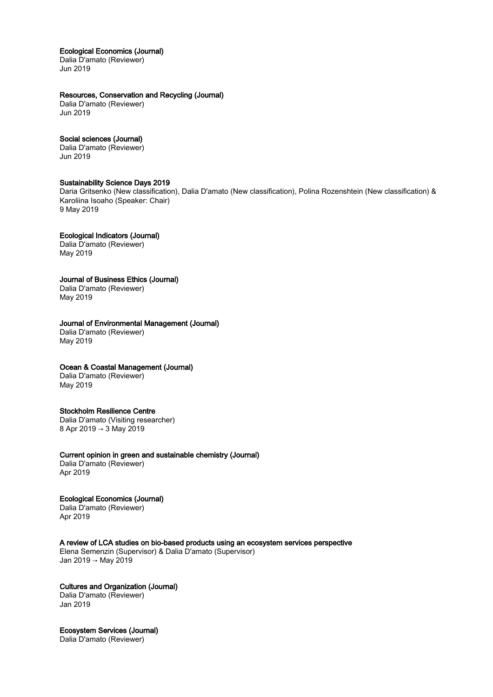## Ecological Economics (Journal)

Dalia D'amato (Reviewer) Jun 2019

## Resources, Conservation and Recycling (Journal)

Dalia D'amato (Reviewer) Jun 2019

## Social sciences (Journal)

Dalia D'amato (Reviewer) Jun 2019

## Sustainability Science Days 2019

Daria Gritsenko (New classification), Dalia D'amato (New classification), Polina Rozenshtein (New classification) & Karoliina Isoaho (Speaker: Chair) 9 May 2019

## Ecological Indicators (Journal)

Dalia D'amato (Reviewer) May 2019

## Journal of Business Ethics (Journal)

Dalia D'amato (Reviewer) May 2019

## Journal of Environmental Management (Journal)

Dalia D'amato (Reviewer) May 2019

## Ocean & Coastal Management (Journal)

Dalia D'amato (Reviewer) May 2019

## Stockholm Resilience Centre

Dalia D'amato (Visiting researcher) 8 Apr 2019 → 3 May 2019

## Current opinion in green and sustainable chemistry (Journal)

Dalia D'amato (Reviewer) Apr 2019

## Ecological Economics (Journal)

Dalia D'amato (Reviewer) Apr 2019

## A review of LCA studies on bio-based products using an ecosystem services perspective Elena Semenzin (Supervisor) & Dalia D'amato (Supervisor)

Jan 2019 → May 2019

## Cultures and Organization (Journal) Dalia D'amato (Reviewer)

Jan 2019

Ecosystem Services (Journal) Dalia D'amato (Reviewer)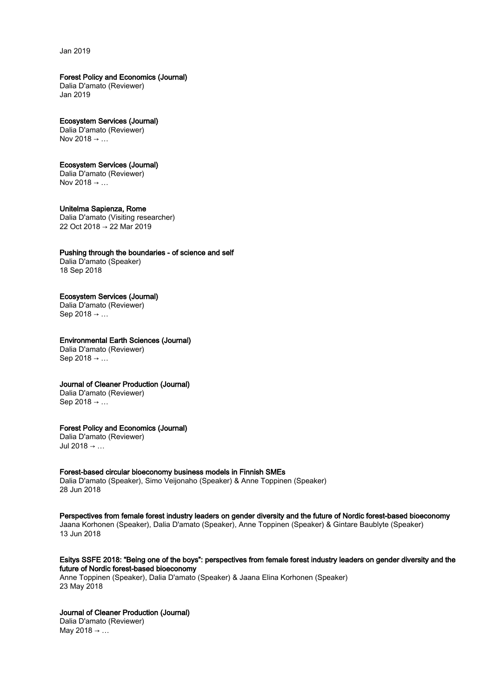Jan 2019

#### Forest Policy and Economics (Journal)

Dalia D'amato (Reviewer) Jan 2019

#### Ecosystem Services (Journal)

Dalia D'amato (Reviewer) Nov 2018 → …

#### Ecosystem Services (Journal)

Dalia D'amato (Reviewer) Nov 2018  $\rightarrow$  ...

#### Unitelma Sapienza, Rome

Dalia D'amato (Visiting researcher) 22 Oct 2018 → 22 Mar 2019

#### Pushing through the boundaries - of science and self

Dalia D'amato (Speaker) 18 Sep 2018

#### Ecosystem Services (Journal)

Dalia D'amato (Reviewer) Sep 2018 → …

## Environmental Earth Sciences (Journal)

Dalia D'amato (Reviewer) Sep 2018  $\rightarrow$  ...

## Journal of Cleaner Production (Journal)

Dalia D'amato (Reviewer) Sep 2018 → …

#### Forest Policy and Economics (Journal)

Dalia D'amato (Reviewer) Jul 2018 → …

#### Forest-based circular bioeconomy business models in Finnish SMEs

Dalia D'amato (Speaker), Simo Veijonaho (Speaker) & Anne Toppinen (Speaker) 28 Jun 2018

#### Perspectives from female forest industry leaders on gender diversity and the future of Nordic forest-based bioeconomy

Jaana Korhonen (Speaker), Dalia D'amato (Speaker), Anne Toppinen (Speaker) & Gintare Baublyte (Speaker) 13 Jun 2018

### Esitys SSFE 2018: "Being one of the boys": perspectives from female forest industry leaders on gender diversity and the future of Nordic forest-based bioeconomy

Anne Toppinen (Speaker), Dalia D'amato (Speaker) & Jaana Elina Korhonen (Speaker) 23 May 2018

#### Journal of Cleaner Production (Journal)

Dalia D'amato (Reviewer) May 2018  $\rightarrow$  ...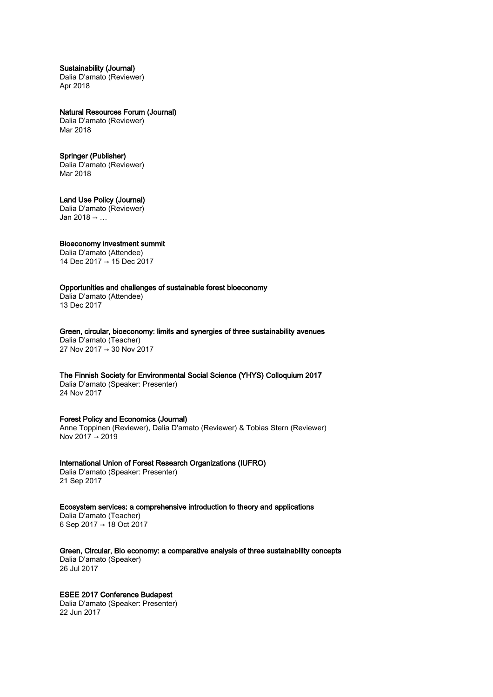#### Sustainability (Journal)

Dalia D'amato (Reviewer) Apr 2018

#### Natural Resources Forum (Journal)

Dalia D'amato (Reviewer) Mar 2018

#### Springer (Publisher)

Dalia D'amato (Reviewer) Mar 2018

## Land Use Policy (Journal)

Dalia D'amato (Reviewer) Jan 2018 → …

#### Bioeconomy investment summit

Dalia D'amato (Attendee) 14 Dec 2017 → 15 Dec 2017

#### Opportunities and challenges of sustainable forest bioeconomy

Dalia D'amato (Attendee) 13 Dec 2017

Green, circular, bioeconomy: limits and synergies of three sustainability avenues Dalia D'amato (Teacher) 27 Nov 2017 → 30 Nov 2017

## The Finnish Society for Environmental Social Science (YHYS) Colloquium 2017

Dalia D'amato (Speaker: Presenter) 24 Nov 2017

## Forest Policy and Economics (Journal)

Anne Toppinen (Reviewer), Dalia D'amato (Reviewer) & Tobias Stern (Reviewer) Nov 2017 → 2019

## International Union of Forest Research Organizations (IUFRO)

Dalia D'amato (Speaker: Presenter) 21 Sep 2017

Ecosystem services: a comprehensive introduction to theory and applications Dalia D'amato (Teacher) 6 Sep 2017 → 18 Oct 2017

## Green, Circular, Bio economy: a comparative analysis of three sustainability concepts

Dalia D'amato (Speaker) 26 Jul 2017

## ESEE 2017 Conference Budapest

Dalia D'amato (Speaker: Presenter) 22 Jun 2017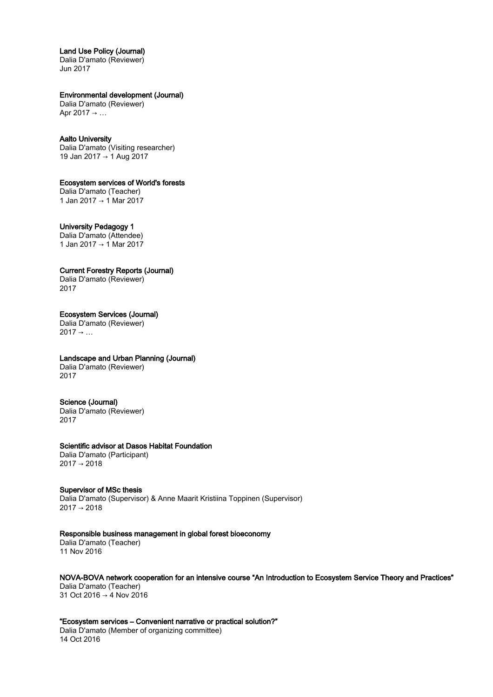## Land Use Policy (Journal)

Dalia D'amato (Reviewer) Jun 2017

## Environmental development (Journal)

Dalia D'amato (Reviewer) Apr 2017 → …

#### Aalto University

Dalia D'amato (Visiting researcher) 19 Jan 2017 → 1 Aug 2017

## Ecosystem services of World's forests

Dalia D'amato (Teacher) 1 Jan 2017 → 1 Mar 2017

## University Pedagogy 1

Dalia D'amato (Attendee) 1 Jan 2017 → 1 Mar 2017

## Current Forestry Reports (Journal)

Dalia D'amato (Reviewer) 2017

#### Ecosystem Services (Journal) Dalia D'amato (Reviewer)  $2017 \rightarrow ...$

## Landscape and Urban Planning (Journal)

Dalia D'amato (Reviewer) 2017

### Science (Journal)

Dalia D'amato (Reviewer) 2017

#### Scientific advisor at Dasos Habitat Foundation

Dalia D'amato (Participant)  $2017 \rightarrow 2018$ 

#### Supervisor of MSc thesis Dalia D'amato (Supervisor) & Anne Maarit Kristiina Toppinen (Supervisor) 2017 → 2018

#### Responsible business management in global forest bioeconomy Dalia D'amato (Teacher)

11 Nov 2016

NOVA-BOVA network cooperation for an intensive course "An Introduction to Ecosystem Service Theory and Practices" Dalia D'amato (Teacher) 31 Oct 2016 → 4 Nov 2016

"Ecosystem services – Convenient narrative or practical solution?" Dalia D'amato (Member of organizing committee) 14 Oct 2016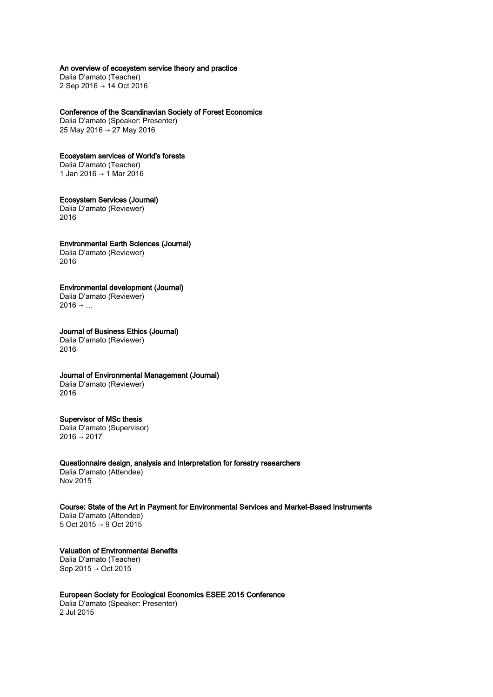An overview of ecosystem service theory and practice

Dalia D'amato (Teacher) 2 Sep 2016 → 14 Oct 2016

Conference of the Scandinavian Society of Forest Economics Dalia D'amato (Speaker: Presenter) 25 May 2016 → 27 May 2016

## Ecosystem services of World's forests

Dalia D'amato (Teacher) 1 Jan 2016 → 1 Mar 2016

Ecosystem Services (Journal) Dalia D'amato (Reviewer) 2016

## Environmental Earth Sciences (Journal)

Dalia D'amato (Reviewer) 2016

## Environmental development (Journal)

Dalia D'amato (Reviewer)  $2016 \rightarrow ...$ 

## Journal of Business Ethics (Journal)

Dalia D'amato (Reviewer) 2016

## Journal of Environmental Management (Journal)

Dalia D'amato (Reviewer) 2016

## Supervisor of MSc thesis

Dalia D'amato (Supervisor) 2016 → 2017

## Questionnaire design, analysis and interpretation for forestry researchers

Dalia D'amato (Attendee) Nov 2015

Course: State of the Art in Payment for Environmental Services and Market-Based Instruments Dalia D'amato (Attendee) 5 Oct 2015 → 9 Oct 2015

## Valuation of Environmental Benefits

Dalia D'amato (Teacher) Sep 2015 → Oct 2015

## European Society for Ecological Economics ESEE 2015 Conference

Dalia D'amato (Speaker: Presenter) 2 Jul 2015